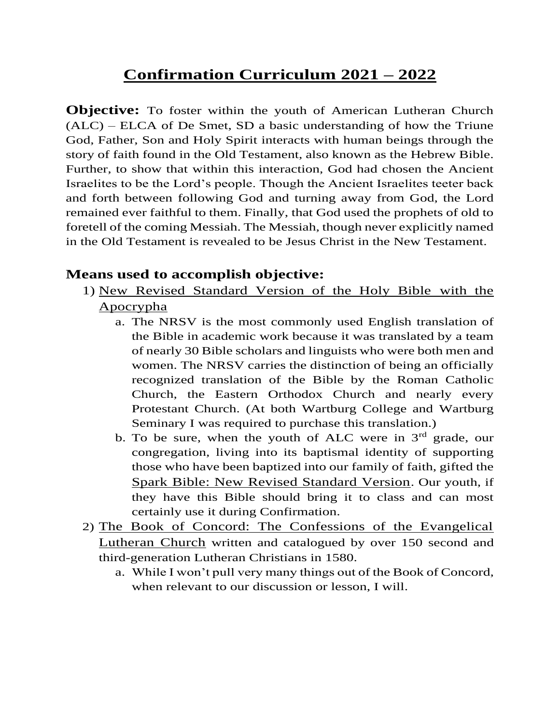# **Confirmation Curriculum 2021 – 2022**

**Objective:** To foster within the youth of American Lutheran Church (ALC) – ELCA of De Smet, SD a basic understanding of how the Triune God, Father, Son and Holy Spirit interacts with human beings through the story of faith found in the Old Testament, also known as the Hebrew Bible. Further, to show that within this interaction, God had chosen the Ancient Israelites to be the Lord's people. Though the Ancient Israelites teeter back and forth between following God and turning away from God, the Lord remained ever faithful to them. Finally, that God used the prophets of old to foretell of the coming Messiah. The Messiah, though never explicitly named in the Old Testament is revealed to be Jesus Christ in the New Testament.

#### **Means used to accomplish objective:**

- 1) New Revised Standard Version of the Holy Bible with the Apocrypha
	- a. The NRSV is the most commonly used English translation of the Bible in academic work because it was translated by a team of nearly 30 Bible scholars and linguists who were both men and women. The NRSV carries the distinction of being an officially recognized translation of the Bible by the Roman Catholic Church, the Eastern Orthodox Church and nearly every Protestant Church. (At both Wartburg College and Wartburg Seminary I was required to purchase this translation.)
	- b. To be sure, when the youth of ALC were in  $3<sup>rd</sup>$  grade, our congregation, living into its baptismal identity of supporting those who have been baptized into our family of faith, gifted the Spark Bible: New Revised Standard Version. Our youth, if they have this Bible should bring it to class and can most certainly use it during Confirmation.
- 2) The Book of Concord: The Confessions of the Evangelical Lutheran Church written and catalogued by over 150 second and third-generation Lutheran Christians in 1580.
	- a. While I won't pull very many things out of the Book of Concord, when relevant to our discussion or lesson, I will.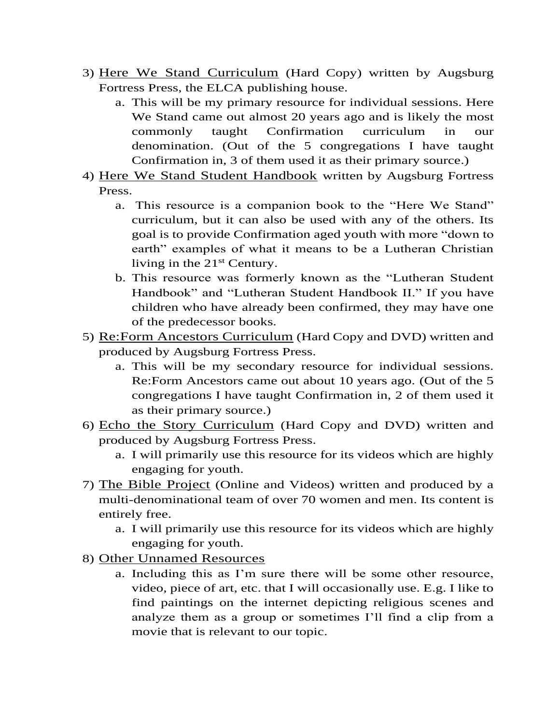- 3) Here We Stand Curriculum (Hard Copy) written by Augsburg Fortress Press, the ELCA publishing house.
	- a. This will be my primary resource for individual sessions. Here We Stand came out almost 20 years ago and is likely the most commonly taught Confirmation curriculum in our denomination. (Out of the 5 congregations I have taught Confirmation in, 3 of them used it as their primary source.)
- 4) Here We Stand Student Handbook written by Augsburg Fortress Press.
	- a. This resource is a companion book to the "Here We Stand" curriculum, but it can also be used with any of the others. Its goal is to provide Confirmation aged youth with more "down to earth" examples of what it means to be a Lutheran Christian living in the  $21<sup>st</sup>$  Century.
	- b. This resource was formerly known as the "Lutheran Student Handbook" and "Lutheran Student Handbook II." If you have children who have already been confirmed, they may have one of the predecessor books.
- 5) Re:Form Ancestors Curriculum (Hard Copy and DVD) written and produced by Augsburg Fortress Press.
	- a. This will be my secondary resource for individual sessions. Re:Form Ancestors came out about 10 years ago. (Out of the 5 congregations I have taught Confirmation in, 2 of them used it as their primary source.)
- 6) Echo the Story Curriculum (Hard Copy and DVD) written and produced by Augsburg Fortress Press.
	- a. I will primarily use this resource for its videos which are highly engaging for youth.
- 7) The Bible Project (Online and Videos) written and produced by a multi-denominational team of over 70 women and men. Its content is entirely free.
	- a. I will primarily use this resource for its videos which are highly engaging for youth.
- 8) Other Unnamed Resources
	- a. Including this as I'm sure there will be some other resource, video, piece of art, etc. that I will occasionally use. E.g. I like to find paintings on the internet depicting religious scenes and analyze them as a group or sometimes I'll find a clip from a movie that is relevant to our topic.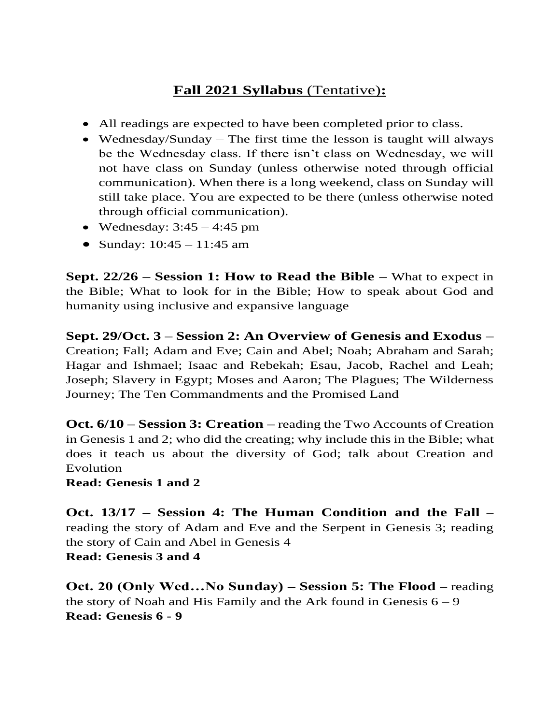### **Fall 2021 Syllabus** (Tentative)**:**

- All readings are expected to have been completed prior to class.
- Wednesday/Sunday The first time the lesson is taught will always be the Wednesday class. If there isn't class on Wednesday, we will not have class on Sunday (unless otherwise noted through official communication). When there is a long weekend, class on Sunday will still take place. You are expected to be there (unless otherwise noted through official communication).
- Wednesday:  $3:45 4:45$  pm
- Sunday:  $10:45 11:45$  am

**Sept. 22/26 – Session 1: How to Read the Bible –** What to expect in the Bible; What to look for in the Bible; How to speak about God and humanity using inclusive and expansive language

**Sept. 29/Oct. 3 – Session 2: An Overview of Genesis and Exodus –** Creation; Fall; Adam and Eve; Cain and Abel; Noah; Abraham and Sarah; Hagar and Ishmael; Isaac and Rebekah; Esau, Jacob, Rachel and Leah; Joseph; Slavery in Egypt; Moses and Aaron; The Plagues; The Wilderness Journey; The Ten Commandments and the Promised Land

**Oct. 6/10 – Session 3: Creation –** reading the Two Accounts of Creation in Genesis 1 and 2; who did the creating; why include this in the Bible; what does it teach us about the diversity of God; talk about Creation and Evolution

**Read: Genesis 1 and 2**

**Oct. 13/17 – Session 4: The Human Condition and the Fall –** reading the story of Adam and Eve and the Serpent in Genesis 3; reading the story of Cain and Abel in Genesis 4 **Read: Genesis 3 and 4**

**Oct. 20 (Only Wed…No Sunday) – Session 5: The Flood –** reading the story of Noah and His Family and the Ark found in Genesis  $6 - 9$ **Read: Genesis 6 - 9**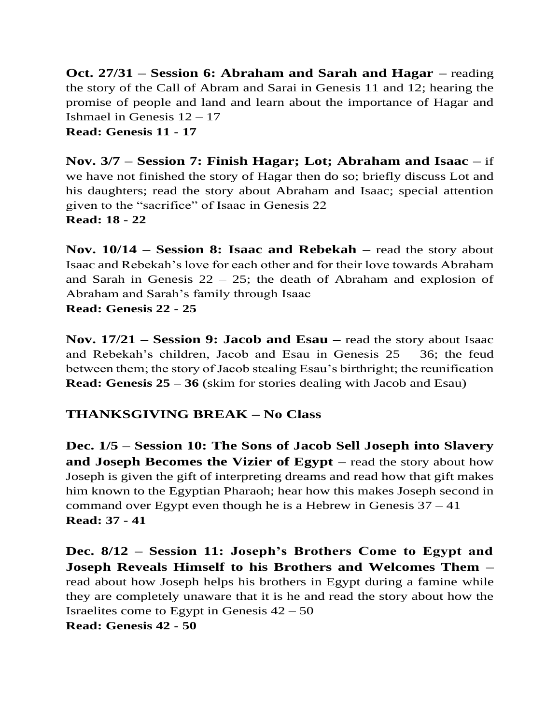**Oct. 27/31 – Session 6: Abraham and Sarah and Hagar –** reading the story of the Call of Abram and Sarai in Genesis 11 and 12; hearing the promise of people and land and learn about the importance of Hagar and Ishmael in Genesis  $12 - 17$ **Read: Genesis 11 - 17**

**Nov. 3/7 – Session 7: Finish Hagar; Lot; Abraham and Isaac –** if we have not finished the story of Hagar then do so; briefly discuss Lot and his daughters; read the story about Abraham and Isaac; special attention given to the "sacrifice" of Isaac in Genesis 22 **Read: 18 - 22**

**Nov. 10/14 – Session 8: Isaac and Rebekah –** read the story about Isaac and Rebekah's love for each other and for their love towards Abraham and Sarah in Genesis  $22 - 25$ ; the death of Abraham and explosion of Abraham and Sarah's family through Isaac

**Read: Genesis 22 - 25**

**Nov. 17/21 – Session 9: Jacob and Esau –** read the story about Isaac and Rebekah's children, Jacob and Esau in Genesis 25 – 36; the feud between them; the story of Jacob stealing Esau's birthright; the reunification **Read: Genesis 25 – 36** (skim for stories dealing with Jacob and Esau)

#### **THANKSGIVING BREAK – No Class**

**Dec. 1/5 – Session 10: The Sons of Jacob Sell Joseph into Slavery and Joseph Becomes the Vizier of Egypt –** read the story about how Joseph is given the gift of interpreting dreams and read how that gift makes him known to the Egyptian Pharaoh; hear how this makes Joseph second in command over Egypt even though he is a Hebrew in Genesis  $37 - 41$ **Read: 37 - 41**

**Dec. 8/12 – Session 11: Joseph's Brothers Come to Egypt and Joseph Reveals Himself to his Brothers and Welcomes Them –** read about how Joseph helps his brothers in Egypt during a famine while they are completely unaware that it is he and read the story about how the Israelites come to Egypt in Genesis  $42 - 50$ 

**Read: Genesis 42 - 50**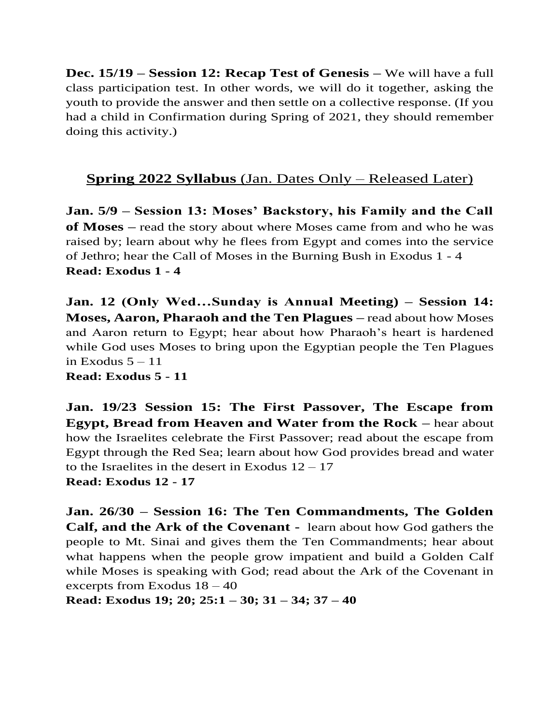**Dec. 15/19 – Session 12: Recap Test of Genesis –** We will have a full class participation test. In other words, we will do it together, asking the youth to provide the answer and then settle on a collective response. (If you had a child in Confirmation during Spring of 2021, they should remember doing this activity.)

## **Spring 2022 Syllabus** (Jan. Dates Only – Released Later)

**Jan. 5/9 – Session 13: Moses' Backstory, his Family and the Call of Moses –** read the story about where Moses came from and who he was raised by; learn about why he flees from Egypt and comes into the service of Jethro; hear the Call of Moses in the Burning Bush in Exodus 1 - 4 **Read: Exodus 1 - 4**

**Jan. 12 (Only Wed…Sunday is Annual Meeting) – Session 14: Moses, Aaron, Pharaoh and the Ten Plagues –** read about how Moses and Aaron return to Egypt; hear about how Pharaoh's heart is hardened while God uses Moses to bring upon the Egyptian people the Ten Plagues in Exodus  $5 - 11$ 

**Read: Exodus 5 - 11**

**Jan. 19/23 Session 15: The First Passover, The Escape from Egypt, Bread from Heaven and Water from the Rock –** hear about how the Israelites celebrate the First Passover; read about the escape from Egypt through the Red Sea; learn about how God provides bread and water to the Israelites in the desert in Exodus  $12 - 17$ **Read: Exodus 12 - 17**

**Jan. 26/30 – Session 16: The Ten Commandments, The Golden Calf, and the Ark of the Covenant -** learn about how God gathers the people to Mt. Sinai and gives them the Ten Commandments; hear about what happens when the people grow impatient and build a Golden Calf while Moses is speaking with God; read about the Ark of the Covenant in excerpts from Exodus 18 – 40

**Read: Exodus 19; 20; 25:1 – 30; 31 – 34; 37 – 40**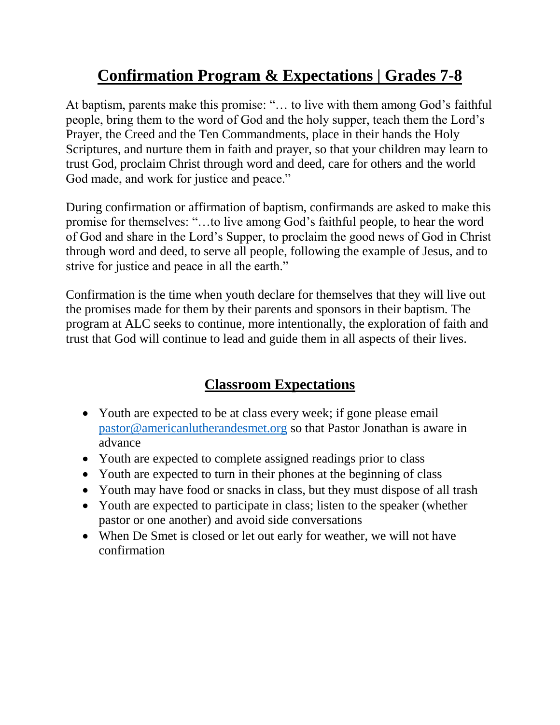# **Confirmation Program & Expectations | Grades 7-8**

At baptism, parents make this promise: "… to live with them among God's faithful people, bring them to the word of God and the holy supper, teach them the Lord's Prayer, the Creed and the Ten Commandments, place in their hands the Holy Scriptures, and nurture them in faith and prayer, so that your children may learn to trust God, proclaim Christ through word and deed, care for others and the world God made, and work for justice and peace."

During confirmation or affirmation of baptism, confirmands are asked to make this promise for themselves: "…to live among God's faithful people, to hear the word of God and share in the Lord's Supper, to proclaim the good news of God in Christ through word and deed, to serve all people, following the example of Jesus, and to strive for justice and peace in all the earth."

Confirmation is the time when youth declare for themselves that they will live out the promises made for them by their parents and sponsors in their baptism. The program at ALC seeks to continue, more intentionally, the exploration of faith and trust that God will continue to lead and guide them in all aspects of their lives.

# **Classroom Expectations**

- Youth are expected to be at class every week; if gone please email [pastor@americanlutherandesmet.org](mailto:pastor@americanlutherandesmet.org) so that Pastor Jonathan is aware in advance
- Youth are expected to complete assigned readings prior to class
- Youth are expected to turn in their phones at the beginning of class
- Youth may have food or snacks in class, but they must dispose of all trash
- Youth are expected to participate in class; listen to the speaker (whether pastor or one another) and avoid side conversations
- When De Smet is closed or let out early for weather, we will not have confirmation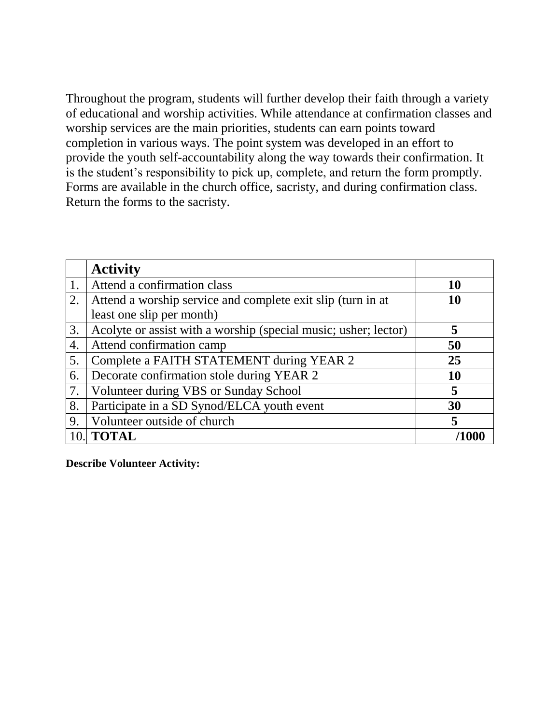Throughout the program, students will further develop their faith through a variety of educational and worship activities. While attendance at confirmation classes and worship services are the main priorities, students can earn points toward completion in various ways. The point system was developed in an effort to provide the youth self-accountability along the way towards their confirmation. It is the student's responsibility to pick up, complete, and return the form promptly. Forms are available in the church office, sacristy, and during confirmation class. Return the forms to the sacristy.

|     | <b>Activity</b>                                                 |    |
|-----|-----------------------------------------------------------------|----|
|     | Attend a confirmation class                                     | 10 |
| 2.  | Attend a worship service and complete exit slip (turn in at     | 10 |
|     | least one slip per month)                                       |    |
| 3.  | Acolyte or assist with a worship (special music; usher; lector) | 5  |
| 4.  | Attend confirmation camp                                        | 50 |
| 5.  | Complete a FAITH STATEMENT during YEAR 2                        | 25 |
| 6.  | Decorate confirmation stole during YEAR 2                       | 10 |
| 7.  | Volunteer during VBS or Sunday School                           | 5  |
| 8.  | Participate in a SD Synod/ELCA youth event                      | 30 |
| 9.  | Volunteer outside of church                                     | 5  |
| 10. | <b>TOTAL</b>                                                    |    |

**Describe Volunteer Activity:**